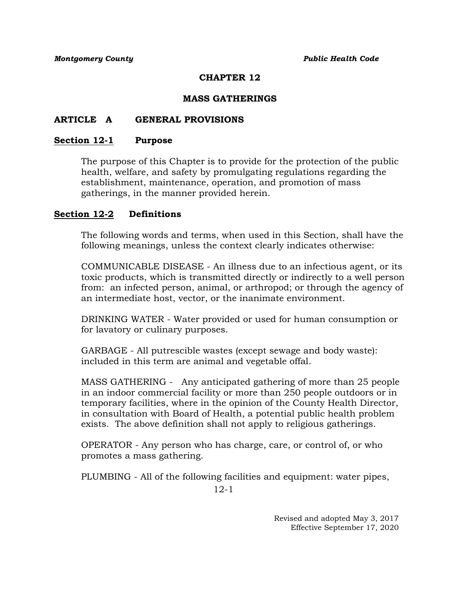## **CHAPTER 12**

## **MASS GATHERINGS**

## **ARTICLE A GENERAL PROVISIONS**

#### **Section 12-1 Purpose**

The purpose of this Chapter is to provide for the protection of the public health, welfare, and safety by promulgating regulations regarding the establishment, maintenance, operation, and promotion of mass gatherings, in the manner provided herein.

## **Section 12-2 Definitions**

The following words and terms, when used in this Section, shall have the following meanings, unless the context clearly indicates otherwise:

COMMUNICABLE DISEASE - An illness due to an infectious agent, or its toxic products, which is transmitted directly or indirectly to a well person from: an infected person, animal, or arthropod; or through the agency of an intermediate host, vector, or the inanimate environment.

DRINKING WATER - Water provided or used for human consumption or for lavatory or culinary purposes.

GARBAGE - All putrescible wastes (except sewage and body waste): included in this term are animal and vegetable offal.

MASS GATHERING - Any anticipated gathering of more than 25 people in an indoor commercial facility or more than 250 people outdoors or in temporary facilities, where in the opinion of the County Health Director, in consultation with Board of Health, a potential public health problem exists. The above definition shall not apply to religious gatherings.

OPERATOR - Any person who has charge, care, or control of, or who promotes a mass gathering.

PLUMBING - All of the following facilities and equipment: water pipes,

12-1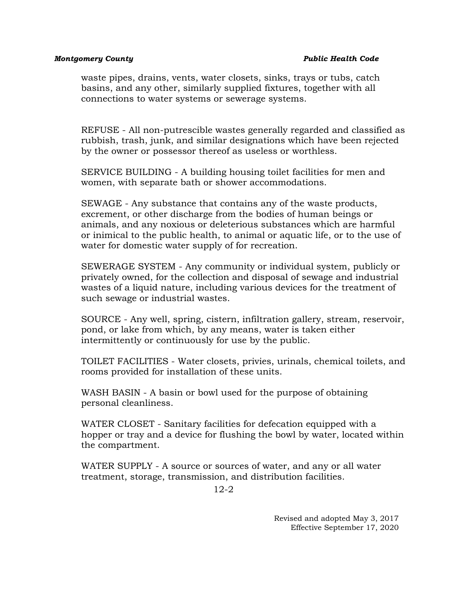waste pipes, drains, vents, water closets, sinks, trays or tubs, catch basins, and any other, similarly supplied fixtures, together with all connections to water systems or sewerage systems.

REFUSE - All non-putrescible wastes generally regarded and classified as rubbish, trash, junk, and similar designations which have been rejected by the owner or possessor thereof as useless or worthless.

SERVICE BUILDING - A building housing toilet facilities for men and women, with separate bath or shower accommodations.

SEWAGE - Any substance that contains any of the waste products, excrement, or other discharge from the bodies of human beings or animals, and any noxious or deleterious substances which are harmful or inimical to the public health, to animal or aquatic life, or to the use of water for domestic water supply of for recreation.

SEWERAGE SYSTEM - Any community or individual system, publicly or privately owned, for the collection and disposal of sewage and industrial wastes of a liquid nature, including various devices for the treatment of such sewage or industrial wastes.

SOURCE - Any well, spring, cistern, infiltration gallery, stream, reservoir, pond, or lake from which, by any means, water is taken either intermittently or continuously for use by the public.

TOILET FACILITIES - Water closets, privies, urinals, chemical toilets, and rooms provided for installation of these units.

WASH BASIN - A basin or bowl used for the purpose of obtaining personal cleanliness.

WATER CLOSET - Sanitary facilities for defecation equipped with a hopper or tray and a device for flushing the bowl by water, located within the compartment.

WATER SUPPLY - A source or sources of water, and any or all water treatment, storage, transmission, and distribution facilities.

12-2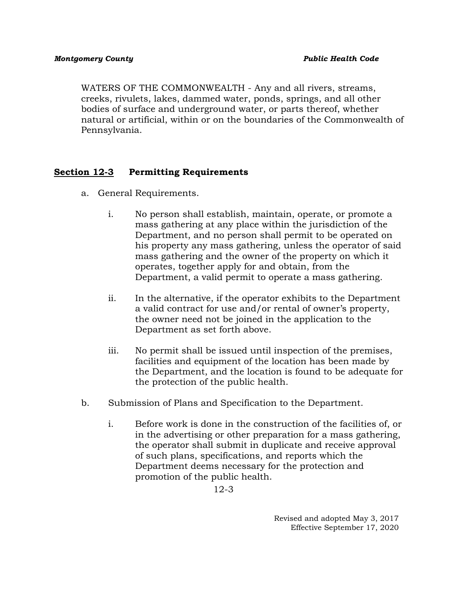WATERS OF THE COMMONWEALTH - Any and all rivers, streams, creeks, rivulets, lakes, dammed water, ponds, springs, and all other bodies of surface and underground water, or parts thereof, whether natural or artificial, within or on the boundaries of the Commonwealth of Pennsylvania.

# **Section 12-3 Permitting Requirements**

- a. General Requirements.
	- i. No person shall establish, maintain, operate, or promote a mass gathering at any place within the jurisdiction of the Department, and no person shall permit to be operated on his property any mass gathering, unless the operator of said mass gathering and the owner of the property on which it operates, together apply for and obtain, from the Department, a valid permit to operate a mass gathering.
	- ii. In the alternative, if the operator exhibits to the Department a valid contract for use and/or rental of owner's property, the owner need not be joined in the application to the Department as set forth above.
	- iii. No permit shall be issued until inspection of the premises, facilities and equipment of the location has been made by the Department, and the location is found to be adequate for the protection of the public health.
- b. Submission of Plans and Specification to the Department.
	- i. Before work is done in the construction of the facilities of, or in the advertising or other preparation for a mass gathering, the operator shall submit in duplicate and receive approval of such plans, specifications, and reports which the Department deems necessary for the protection and promotion of the public health.

12-3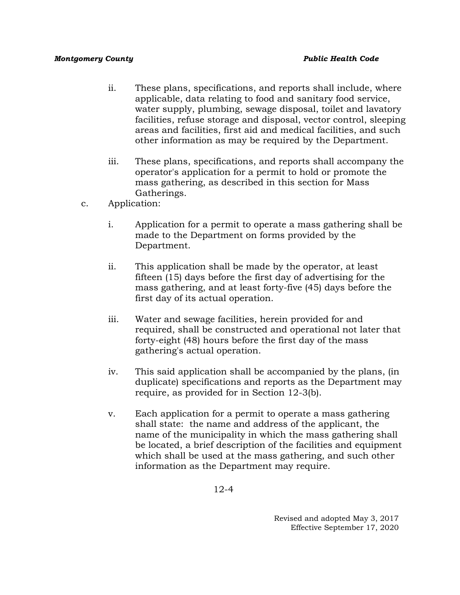- ii. These plans, specifications, and reports shall include, where applicable, data relating to food and sanitary food service, water supply, plumbing, sewage disposal, toilet and lavatory facilities, refuse storage and disposal, vector control, sleeping areas and facilities, first aid and medical facilities, and such other information as may be required by the Department.
- iii. These plans, specifications, and reports shall accompany the operator's application for a permit to hold or promote the mass gathering, as described in this section for Mass Gatherings.
- c. Application:
	- i. Application for a permit to operate a mass gathering shall be made to the Department on forms provided by the Department.
	- ii. This application shall be made by the operator, at least fifteen (15) days before the first day of advertising for the mass gathering, and at least forty-five (45) days before the first day of its actual operation.
	- iii. Water and sewage facilities, herein provided for and required, shall be constructed and operational not later that forty-eight (48) hours before the first day of the mass gathering's actual operation.
	- iv. This said application shall be accompanied by the plans, (in duplicate) specifications and reports as the Department may require, as provided for in Section 12-3(b).
	- v. Each application for a permit to operate a mass gathering shall state: the name and address of the applicant, the name of the municipality in which the mass gathering shall be located, a brief description of the facilities and equipment which shall be used at the mass gathering, and such other information as the Department may require.

12-4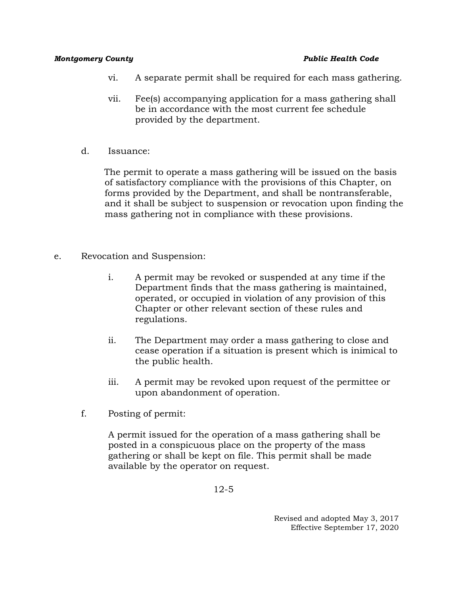- vi. A separate permit shall be required for each mass gathering.
- vii. Fee(s) accompanying application for a mass gathering shall be in accordance with the most current fee schedule provided by the department.
- d. Issuance:

The permit to operate a mass gathering will be issued on the basis of satisfactory compliance with the provisions of this Chapter, on forms provided by the Department, and shall be nontransferable, and it shall be subject to suspension or revocation upon finding the mass gathering not in compliance with these provisions.

- e. Revocation and Suspension:
	- i. A permit may be revoked or suspended at any time if the Department finds that the mass gathering is maintained, operated, or occupied in violation of any provision of this Chapter or other relevant section of these rules and regulations.
	- ii. The Department may order a mass gathering to close and cease operation if a situation is present which is inimical to the public health.
	- iii. A permit may be revoked upon request of the permittee or upon abandonment of operation.
	- f. Posting of permit:

A permit issued for the operation of a mass gathering shall be posted in a conspicuous place on the property of the mass gathering or shall be kept on file. This permit shall be made available by the operator on request.

12-5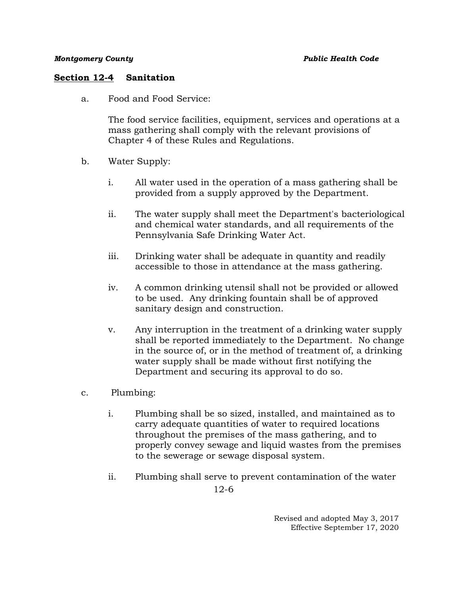## **Section 12-4 Sanitation**

a. Food and Food Service:

The food service facilities, equipment, services and operations at a mass gathering shall comply with the relevant provisions of Chapter 4 of these Rules and Regulations.

- b. Water Supply:
	- i. All water used in the operation of a mass gathering shall be provided from a supply approved by the Department.
	- ii. The water supply shall meet the Department's bacteriological and chemical water standards, and all requirements of the Pennsylvania Safe Drinking Water Act.
	- iii. Drinking water shall be adequate in quantity and readily accessible to those in attendance at the mass gathering.
	- iv. A common drinking utensil shall not be provided or allowed to be used. Any drinking fountain shall be of approved sanitary design and construction.
	- v. Any interruption in the treatment of a drinking water supply shall be reported immediately to the Department. No change in the source of, or in the method of treatment of, a drinking water supply shall be made without first notifying the Department and securing its approval to do so.
- c. Plumbing:
	- i. Plumbing shall be so sized, installed, and maintained as to carry adequate quantities of water to required locations throughout the premises of the mass gathering, and to properly convey sewage and liquid wastes from the premises to the sewerage or sewage disposal system.
	- 12-6 ii. Plumbing shall serve to prevent contamination of the water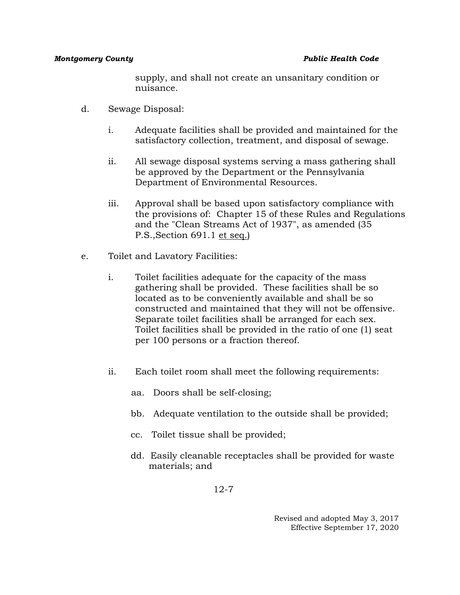supply, and shall not create an unsanitary condition or nuisance.

- d. Sewage Disposal:
	- i. Adequate facilities shall be provided and maintained for the satisfactory collection, treatment, and disposal of sewage.
	- ii. All sewage disposal systems serving a mass gathering shall be approved by the Department or the Pennsylvania Department of Environmental Resources.
	- iii. Approval shall be based upon satisfactory compliance with the provisions of: Chapter 15 of these Rules and Regulations and the "Clean Streams Act of 1937", as amended (35 P.S.,Section 691.1 et seq.)
- e. Toilet and Lavatory Facilities:
	- i. Toilet facilities adequate for the capacity of the mass gathering shall be provided. These facilities shall be so located as to be conveniently available and shall be so constructed and maintained that they will not be offensive. Separate toilet facilities shall be arranged for each sex. Toilet facilities shall be provided in the ratio of one (1) seat per 100 persons or a fraction thereof.
	- ii. Each toilet room shall meet the following requirements:
		- aa. Doors shall be self-closing;
		- bb. Adequate ventilation to the outside shall be provided;
		- cc. Toilet tissue shall be provided;
		- dd. Easily cleanable receptacles shall be provided for waste materials; and

12-7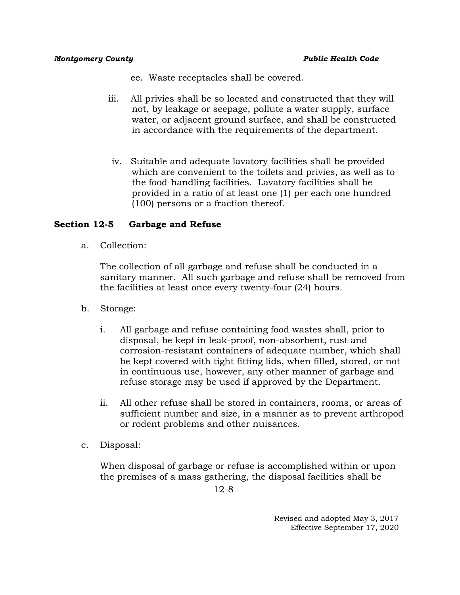- ee. Waste receptacles shall be covered.
- iii. All privies shall be so located and constructed that they will not, by leakage or seepage, pollute a water supply, surface water, or adjacent ground surface, and shall be constructed in accordance with the requirements of the department.
- iv. Suitable and adequate lavatory facilities shall be provided which are convenient to the toilets and privies, as well as to the food-handling facilities. Lavatory facilities shall be provided in a ratio of at least one (1) per each one hundred (100) persons or a fraction thereof.

# **Section 12-5 Garbage and Refuse**

a. Collection:

The collection of all garbage and refuse shall be conducted in a sanitary manner. All such garbage and refuse shall be removed from the facilities at least once every twenty-four (24) hours.

- b. Storage:
	- i. All garbage and refuse containing food wastes shall, prior to disposal, be kept in leak-proof, non-absorbent, rust and corrosion-resistant containers of adequate number, which shall be kept covered with tight fitting lids, when filled, stored, or not in continuous use, however, any other manner of garbage and refuse storage may be used if approved by the Department.
	- ii. All other refuse shall be stored in containers, rooms, or areas of sufficient number and size, in a manner as to prevent arthropod or rodent problems and other nuisances.
- c. Disposal:

When disposal of garbage or refuse is accomplished within or upon the premises of a mass gathering, the disposal facilities shall be

12-8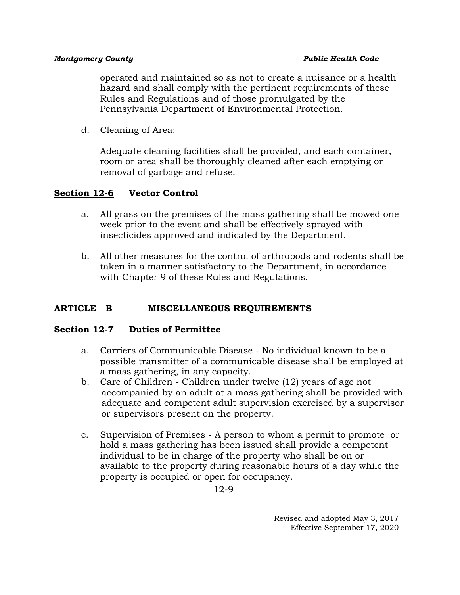operated and maintained so as not to create a nuisance or a health hazard and shall comply with the pertinent requirements of these Rules and Regulations and of those promulgated by the Pennsylvania Department of Environmental Protection.

d. Cleaning of Area:

Adequate cleaning facilities shall be provided, and each container, room or area shall be thoroughly cleaned after each emptying or removal of garbage and refuse.

# **Section 12-6 Vector Control**

- a. All grass on the premises of the mass gathering shall be mowed one week prior to the event and shall be effectively sprayed with insecticides approved and indicated by the Department.
- b. All other measures for the control of arthropods and rodents shall be taken in a manner satisfactory to the Department, in accordance with Chapter 9 of these Rules and Regulations.

## **ARTICLE B MISCELLANEOUS REQUIREMENTS**

## **Section 12-7 Duties of Permittee**

- a. Carriers of Communicable Disease No individual known to be a possible transmitter of a communicable disease shall be employed at a mass gathering, in any capacity.
- b. Care of Children Children under twelve (12) years of age not accompanied by an adult at a mass gathering shall be provided with adequate and competent adult supervision exercised by a supervisor or supervisors present on the property.
- c. Supervision of Premises A person to whom a permit to promote or hold a mass gathering has been issued shall provide a competent individual to be in charge of the property who shall be on or available to the property during reasonable hours of a day while the property is occupied or open for occupancy.

12-9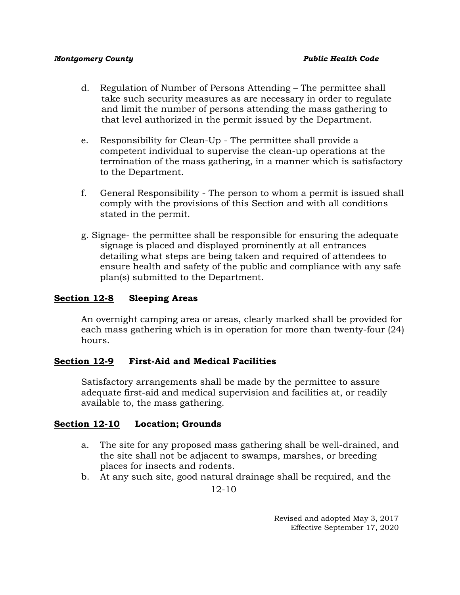- d. Regulation of Number of Persons Attending The permittee shall take such security measures as are necessary in order to regulate and limit the number of persons attending the mass gathering to that level authorized in the permit issued by the Department.
- e. Responsibility for Clean-Up The permittee shall provide a competent individual to supervise the clean-up operations at the termination of the mass gathering, in a manner which is satisfactory to the Department.
- f. General Responsibility The person to whom a permit is issued shall comply with the provisions of this Section and with all conditions stated in the permit.
- g. Signage- the permittee shall be responsible for ensuring the adequate signage is placed and displayed prominently at all entrances detailing what steps are being taken and required of attendees to ensure health and safety of the public and compliance with any safe plan(s) submitted to the Department.

# **Section 12-8 Sleeping Areas**

An overnight camping area or areas, clearly marked shall be provided for each mass gathering which is in operation for more than twenty-four (24) hours.

## **Section 12-9 First-Aid and Medical Facilities**

Satisfactory arrangements shall be made by the permittee to assure adequate first-aid and medical supervision and facilities at, or readily available to, the mass gathering.

## **Section 12-10 Location; Grounds**

- a. The site for any proposed mass gathering shall be well-drained, and the site shall not be adjacent to swamps, marshes, or breeding places for insects and rodents.
- b. At any such site, good natural drainage shall be required, and the

12-10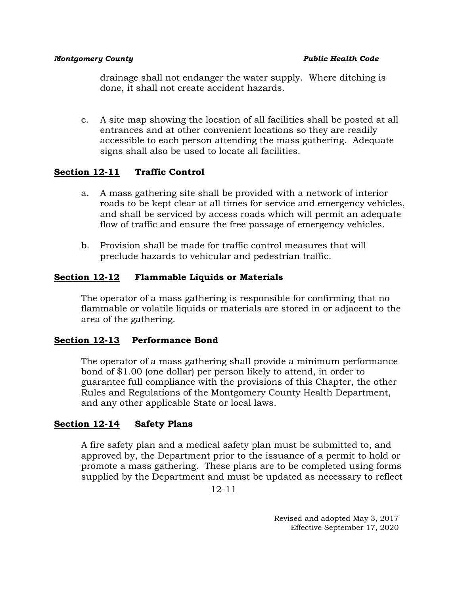drainage shall not endanger the water supply. Where ditching is done, it shall not create accident hazards.

c. A site map showing the location of all facilities shall be posted at all entrances and at other convenient locations so they are readily accessible to each person attending the mass gathering. Adequate signs shall also be used to locate all facilities.

# **Section 12-11 Traffic Control**

- a. A mass gathering site shall be provided with a network of interior roads to be kept clear at all times for service and emergency vehicles, and shall be serviced by access roads which will permit an adequate flow of traffic and ensure the free passage of emergency vehicles.
- b. Provision shall be made for traffic control measures that will preclude hazards to vehicular and pedestrian traffic.

# **Section 12-12 Flammable Liquids or Materials**

The operator of a mass gathering is responsible for confirming that no flammable or volatile liquids or materials are stored in or adjacent to the area of the gathering.

# **Section 12-13 Performance Bond**

The operator of a mass gathering shall provide a minimum performance bond of \$1.00 (one dollar) per person likely to attend, in order to guarantee full compliance with the provisions of this Chapter, the other Rules and Regulations of the Montgomery County Health Department, and any other applicable State or local laws.

# **Section 12-14 Safety Plans**

A fire safety plan and a medical safety plan must be submitted to, and approved by, the Department prior to the issuance of a permit to hold or promote a mass gathering. These plans are to be completed using forms supplied by the Department and must be updated as necessary to reflect

12-11